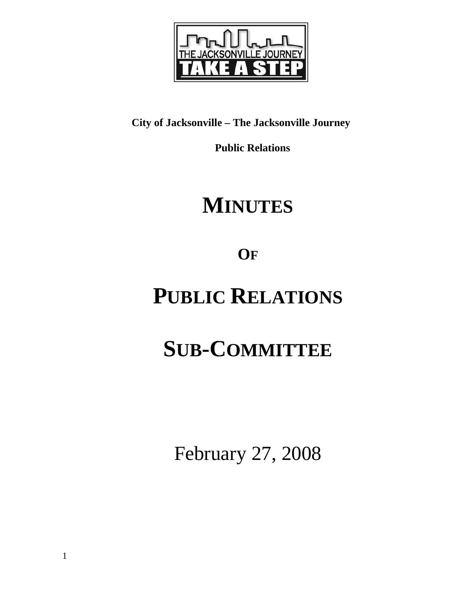

# **City of Jacksonville – The Jacksonville Journey**

 **Public Relations** 

# **MINUTES**

**OF**

# **PUBLIC RELATIONS**

# **SUB-COMMITTEE**

February 27, 2008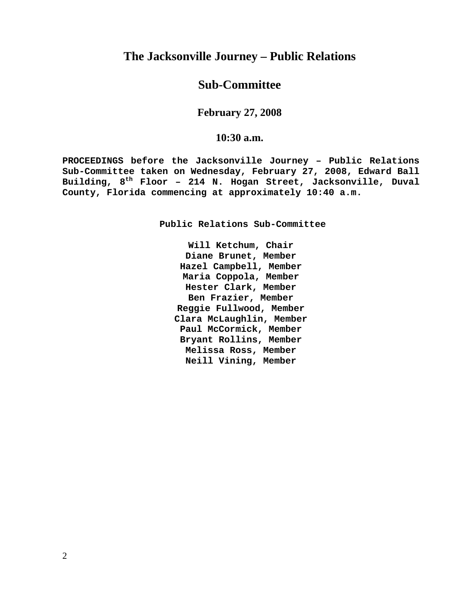# **The Jacksonville Journey – Public Relations**

## **Sub-Committee**

## **February 27, 2008**

### **10:30 a.m.**

**PROCEEDINGS before the Jacksonville Journey – Public Relations Sub-Committee taken on Wednesday, February 27, 2008, Edward Ball Building, 8th Floor – 214 N. Hogan Street, Jacksonville, Duval County, Florida commencing at approximately 10:40 a.m.** 

**Public Relations Sub-Committee** 

**Will Ketchum, Chair Diane Brunet, Member Hazel Campbell, Member Maria Coppola, Member Hester Clark, Member Ben Frazier, Member Reggie Fullwood, Member Clara McLaughlin, Member Paul McCormick, Member Bryant Rollins, Member Melissa Ross, Member Neill Vining, Member**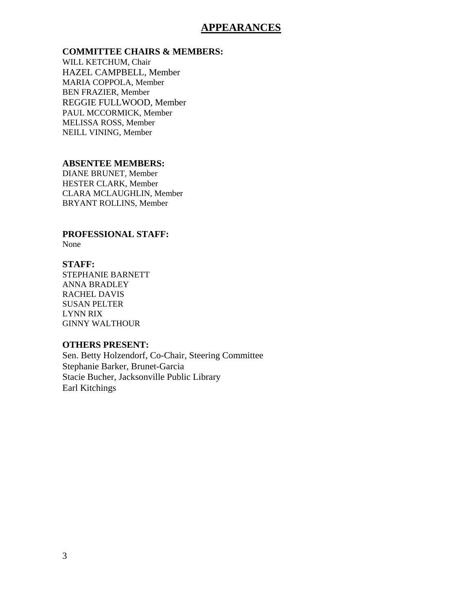## **APPEARANCES**

#### **COMMITTEE CHAIRS & MEMBERS:**

WILL KETCHUM, Chair HAZEL CAMPBELL, Member MARIA COPPOLA, Member BEN FRAZIER, Member REGGIE FULLWOOD, Member PAUL MCCORMICK, Member MELISSA ROSS, Member NEILL VINING, Member

#### **ABSENTEE MEMBERS:**

DIANE BRUNET, Member HESTER CLARK, Member CLARA MCLAUGHLIN, Member BRYANT ROLLINS, Member

**PROFESSIONAL STAFF:**  None

### **STAFF:**

STEPHANIE BARNETT ANNA BRADLEY RACHEL DAVIS SUSAN PELTER LYNN RIX GINNY WALTHOUR

### **OTHERS PRESENT:**

Sen. Betty Holzendorf, Co-Chair, Steering Committee Stephanie Barker, Brunet-Garcia Stacie Bucher, Jacksonville Public Library Earl Kitchings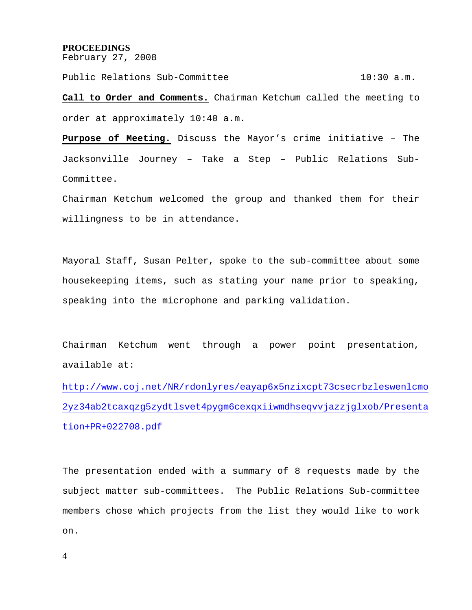#### **PROCEEDINGS**

February 27, 2008

Public Relations Sub-Committee 10:30 a.m.

**Call to Order and Comments.** Chairman Ketchum called the meeting to order at approximately 10:40 a.m.

**Purpose of Meeting.** Discuss the Mayor's crime initiative – The Jacksonville Journey – Take a Step – Public Relations Sub-Committee.

Chairman Ketchum welcomed the group and thanked them for their willingness to be in attendance.

Mayoral Staff, Susan Pelter, spoke to the sub-committee about some housekeeping items, such as stating your name prior to speaking, speaking into the microphone and parking validation.

Chairman Ketchum went through a power point presentation, available at:

http://www.coj.net/NR/rdonlyres/eayap6x5nzixcpt73csecrbzleswenlcmo 2yz34ab2tcaxqzg5zydtlsvet4pygm6cexqxiiwmdhseqvvjazzjglxob/Presenta tion+PR+022708.pdf

The presentation ended with a summary of 8 requests made by the subject matter sub-committees. The Public Relations Sub-committee members chose which projects from the list they would like to work on.

4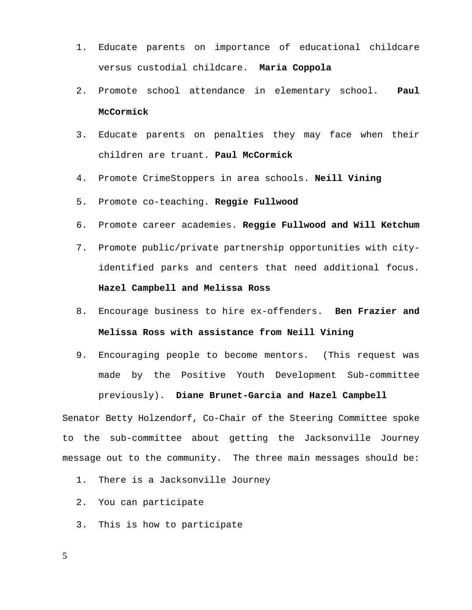- 1. Educate parents on importance of educational childcare versus custodial childcare. **Maria Coppola**
- 2. Promote school attendance in elementary school. **Paul McCormick**
- 3. Educate parents on penalties they may face when their children are truant. **Paul McCormick**
- 4. Promote CrimeStoppers in area schools. **Neill Vining**
- 5. Promote co-teaching. **Reggie Fullwood**
- 6. Promote career academies. **Reggie Fullwood and Will Ketchum**
- 7. Promote public/private partnership opportunities with cityidentified parks and centers that need additional focus. **Hazel Campbell and Melissa Ross**
- 8. Encourage business to hire ex-offenders. **Ben Frazier and Melissa Ross with assistance from Neill Vining**
- 9. Encouraging people to become mentors. (This request was made by the Positive Youth Development Sub-committee previously). **Diane Brunet-Garcia and Hazel Campbell**

Senator Betty Holzendorf, Co-Chair of the Steering Committee spoke to the sub-committee about getting the Jacksonville Journey message out to the community. The three main messages should be:

- 1. There is a Jacksonville Journey
- 2. You can participate
- 3. This is how to participate
- 5